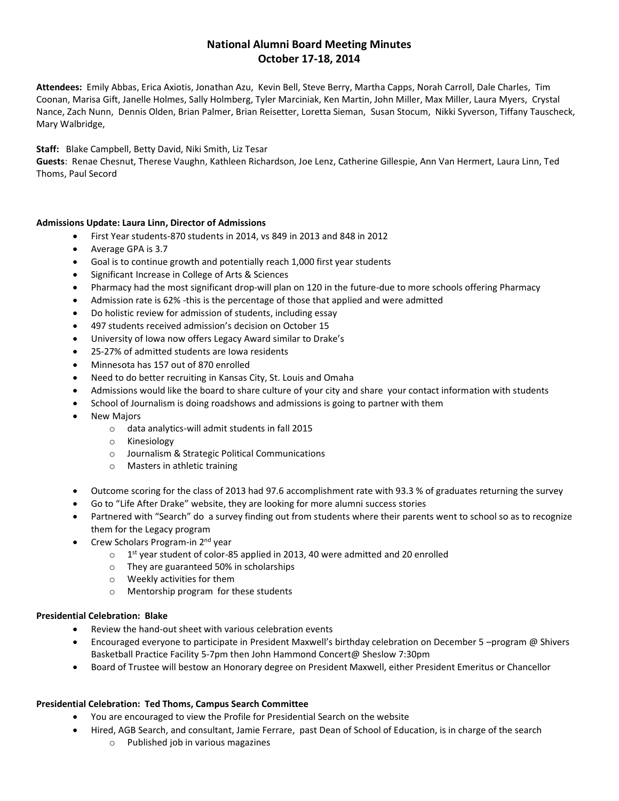# **National Alumni Board Meeting Minutes October 17-18, 2014**

**Attendees:** Emily Abbas, Erica Axiotis, Jonathan Azu, Kevin Bell, Steve Berry, Martha Capps, Norah Carroll, Dale Charles, Tim Coonan, Marisa Gift, Janelle Holmes, Sally Holmberg, Tyler Marciniak, Ken Martin, John Miller, Max Miller, Laura Myers, Crystal Nance, Zach Nunn, Dennis Olden, Brian Palmer, Brian Reisetter, Loretta Sieman, Susan Stocum, Nikki Syverson, Tiffany Tauscheck, Mary Walbridge,

## **Staff:** Blake Campbell, Betty David, Niki Smith, Liz Tesar

**Guests**: Renae Chesnut, Therese Vaughn, Kathleen Richardson, Joe Lenz, Catherine Gillespie, Ann Van Hermert, Laura Linn, Ted Thoms, Paul Secord

## **Admissions Update: Laura Linn, Director of Admissions**

- First Year students-870 students in 2014, vs 849 in 2013 and 848 in 2012
- Average GPA is 3.7
- Goal is to continue growth and potentially reach 1,000 first year students
- Significant Increase in College of Arts & Sciences
- Pharmacy had the most significant drop-will plan on 120 in the future-due to more schools offering Pharmacy
- Admission rate is 62% -this is the percentage of those that applied and were admitted
- Do holistic review for admission of students, including essay
- 497 students received admission's decision on October 15
- University of Iowa now offers Legacy Award similar to Drake's
- 25-27% of admitted students are Iowa residents
- Minnesota has 157 out of 870 enrolled
- Need to do better recruiting in Kansas City, St. Louis and Omaha
- Admissions would like the board to share culture of your city and share your contact information with students
- School of Journalism is doing roadshows and admissions is going to partner with them
- **New Majors** 
	- o data analytics-will admit students in fall 2015
	- o Kinesiology
	- o Journalism & Strategic Political Communications
	- o Masters in athletic training
- Outcome scoring for the class of 2013 had 97.6 accomplishment rate with 93.3 % of graduates returning the survey
- Go to "Life After Drake" website, they are looking for more alumni success stories
- Partnered with "Search" do a survey finding out from students where their parents went to school so as to recognize them for the Legacy program
- Crew Scholars Program-in 2nd year
	- $\circ$  1<sup>st</sup> year student of color-85 applied in 2013, 40 were admitted and 20 enrolled
	- o They are guaranteed 50% in scholarships
	- o Weekly activities for them
	- o Mentorship program for these students

#### **Presidential Celebration: Blake**

- Review the hand-out sheet with various celebration events
- Encouraged everyone to participate in President Maxwell's birthday celebration on December 5 –program @ Shivers Basketball Practice Facility 5-7pm then John Hammond Concert@ Sheslow 7:30pm
- Board of Trustee will bestow an Honorary degree on President Maxwell, either President Emeritus or Chancellor

#### **Presidential Celebration: Ted Thoms, Campus Search Committee**

- You are encouraged to view the Profile for Presidential Search on the website
- Hired, AGB Search, and consultant, Jamie Ferrare, past Dean of School of Education, is in charge of the search
	- o Published job in various magazines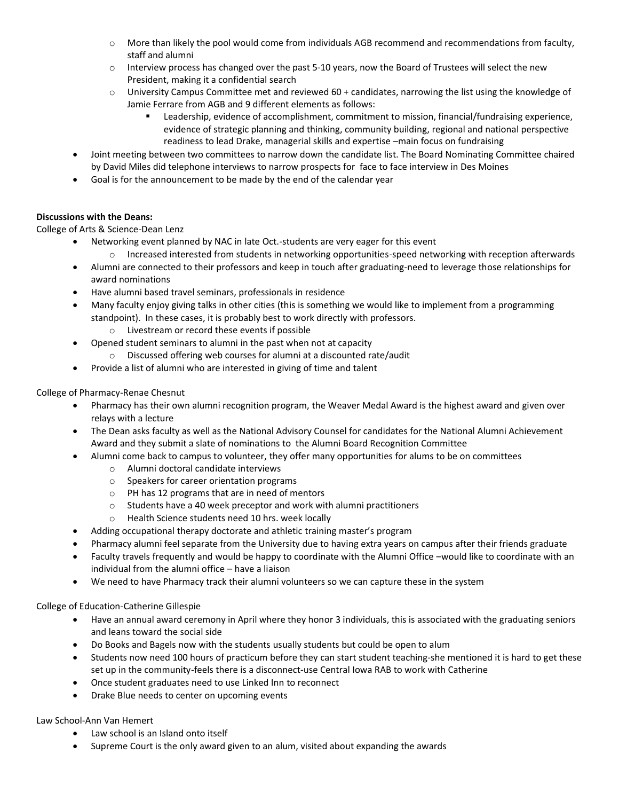- o More than likely the pool would come from individuals AGB recommend and recommendations from faculty, staff and alumni
- o Interview process has changed over the past 5-10 years, now the Board of Trustees will select the new President, making it a confidential search
- o University Campus Committee met and reviewed 60 + candidates, narrowing the list using the knowledge of Jamie Ferrare from AGB and 9 different elements as follows:
	- Leadership, evidence of accomplishment, commitment to mission, financial/fundraising experience, evidence of strategic planning and thinking, community building, regional and national perspective readiness to lead Drake, managerial skills and expertise –main focus on fundraising
- Joint meeting between two committees to narrow down the candidate list. The Board Nominating Committee chaired by David Miles did telephone interviews to narrow prospects for face to face interview in Des Moines
- Goal is for the announcement to be made by the end of the calendar year

# **Discussions with the Deans:**

College of Arts & Science-Dean Lenz

- Networking event planned by NAC in late Oct.-students are very eager for this event
	- o Increased interested from students in networking opportunities-speed networking with reception afterwards
- Alumni are connected to their professors and keep in touch after graduating-need to leverage those relationships for award nominations
- Have alumni based travel seminars, professionals in residence
- Many faculty enjoy giving talks in other cities (this is something we would like to implement from a programming standpoint). In these cases, it is probably best to work directly with professors.
	- o Livestream or record these events if possible
- Opened student seminars to alumni in the past when not at capacity
	- o Discussed offering web courses for alumni at a discounted rate/audit
- Provide a list of alumni who are interested in giving of time and talent

College of Pharmacy-Renae Chesnut

- Pharmacy has their own alumni recognition program, the Weaver Medal Award is the highest award and given over relays with a lecture
- The Dean asks faculty as well as the National Advisory Counsel for candidates for the National Alumni Achievement Award and they submit a slate of nominations to the Alumni Board Recognition Committee
- Alumni come back to campus to volunteer, they offer many opportunities for alums to be on committees
	- o Alumni doctoral candidate interviews
	- o Speakers for career orientation programs
	- o PH has 12 programs that are in need of mentors
	- o Students have a 40 week preceptor and work with alumni practitioners
	- o Health Science students need 10 hrs. week locally
- Adding occupational therapy doctorate and athletic training master's program
- Pharmacy alumni feel separate from the University due to having extra years on campus after their friends graduate
- Faculty travels frequently and would be happy to coordinate with the Alumni Office –would like to coordinate with an individual from the alumni office – have a liaison
- We need to have Pharmacy track their alumni volunteers so we can capture these in the system

College of Education-Catherine Gillespie

- Have an annual award ceremony in April where they honor 3 individuals, this is associated with the graduating seniors and leans toward the social side
- Do Books and Bagels now with the students usually students but could be open to alum
- Students now need 100 hours of practicum before they can start student teaching-she mentioned it is hard to get these set up in the community-feels there is a disconnect-use Central Iowa RAB to work with Catherine
- Once student graduates need to use Linked Inn to reconnect
- Drake Blue needs to center on upcoming events

Law School-Ann Van Hemert

- Law school is an Island onto itself
- Supreme Court is the only award given to an alum, visited about expanding the awards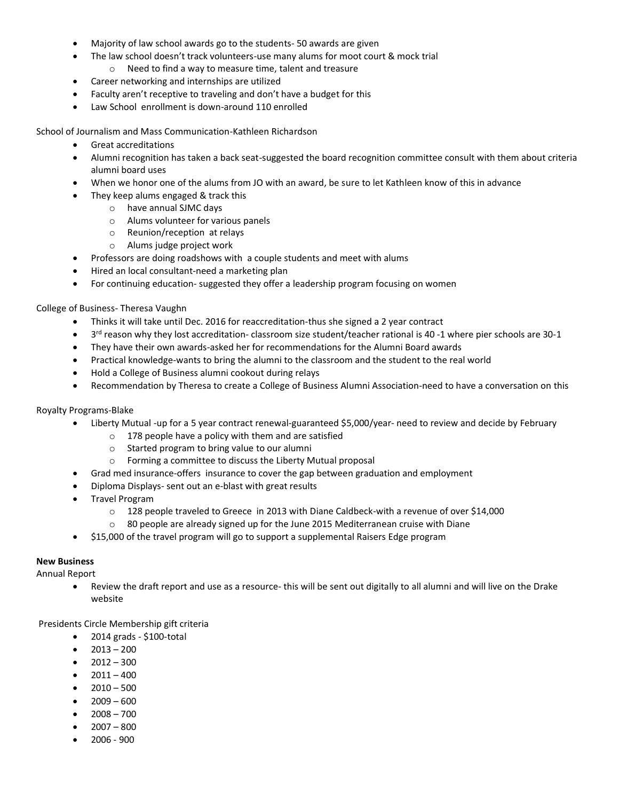- Majority of law school awards go to the students- 50 awards are given
- The law school doesn't track volunteers-use many alums for moot court & mock trial
	- o Need to find a way to measure time, talent and treasure
- Career networking and internships are utilized
- Faculty aren't receptive to traveling and don't have a budget for this
- Law School enrollment is down-around 110 enrolled

School of Journalism and Mass Communication-Kathleen Richardson

- Great accreditations
- Alumni recognition has taken a back seat-suggested the board recognition committee consult with them about criteria alumni board uses
- When we honor one of the alums from JO with an award, be sure to let Kathleen know of this in advance
- They keep alums engaged & track this
	- o have annual SJMC days
	- o Alums volunteer for various panels
	- o Reunion/reception at relays
	- o Alums judge project work
- Professors are doing roadshows with a couple students and meet with alums
- Hired an local consultant-need a marketing plan
- For continuing education- suggested they offer a leadership program focusing on women

College of Business- Theresa Vaughn

- Thinks it will take until Dec. 2016 for reaccreditation-thus she signed a 2 year contract
- 3<sup>rd</sup> reason why they lost accreditation- classroom size student/teacher rational is 40 -1 where pier schools are 30-1
- They have their own awards-asked her for recommendations for the Alumni Board awards
- Practical knowledge-wants to bring the alumni to the classroom and the student to the real world
- Hold a College of Business alumni cookout during relays
- Recommendation by Theresa to create a College of Business Alumni Association-need to have a conversation on this

Royalty Programs-Blake

- Liberty Mutual -up for a 5 year contract renewal-guaranteed \$5,000/year- need to review and decide by February
	- o 178 people have a policy with them and are satisfied
	- o Started program to bring value to our alumni
	- o Forming a committee to discuss the Liberty Mutual proposal
- Grad med insurance-offers insurance to cover the gap between graduation and employment
- Diploma Displays- sent out an e-blast with great results
- Travel Program
	- o 128 people traveled to Greece in 2013 with Diane Caldbeck-with a revenue of over \$14,000
	- $\circ$  80 people are already signed up for the June 2015 Mediterranean cruise with Diane
- \$15,000 of the travel program will go to support a supplemental Raisers Edge program

# **New Business**

Annual Report

• Review the draft report and use as a resource- this will be sent out digitally to all alumni and will live on the Drake website

Presidents Circle Membership gift criteria

- $\bullet$  2014 grads \$100-total
- $2013 200$
- 2012 300
- 2011 400
- $2010 500$
- 2009 600
- $2008 700$
- $2007 800$
- 2006 900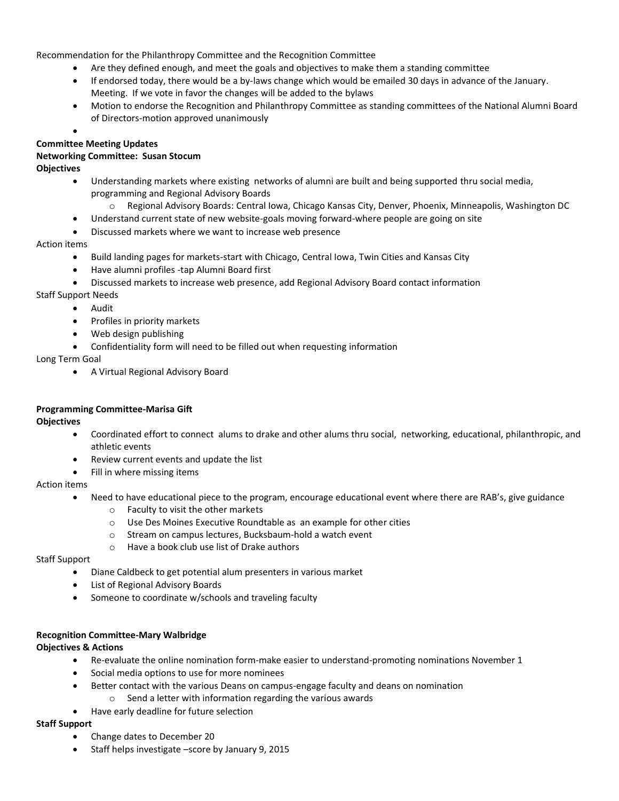Recommendation for the Philanthropy Committee and the Recognition Committee

- Are they defined enough, and meet the goals and objectives to make them a standing committee
- If endorsed today, there would be a by-laws change which would be emailed 30 days in advance of the January. Meeting. If we vote in favor the changes will be added to the bylaws
- Motion to endorse the Recognition and Philanthropy Committee as standing committees of the National Alumni Board of Directors-motion approved unanimously

•

#### **Committee Meeting Updates**

# **Networking Committee: Susan Stocum**

**Objectives**

- Understanding markets where existing networks of alumni are built and being supported thru social media, programming and Regional Advisory Boards
	- o Regional Advisory Boards: Central Iowa, Chicago Kansas City, Denver, Phoenix, Minneapolis, Washington DC
- Understand current state of new website-goals moving forward-where people are going on site
- Discussed markets where we want to increase web presence

# Action items

- Build landing pages for markets-start with Chicago, Central Iowa, Twin Cities and Kansas City
- Have alumni profiles -tap Alumni Board first
- Discussed markets to increase web presence, add Regional Advisory Board contact information

Staff Support Needs

- Audit
- Profiles in priority markets
- Web design publishing
- Confidentiality form will need to be filled out when requesting information

Long Term Goal

• A Virtual Regional Advisory Board

#### **Programming Committee-Marisa Gift**

#### **Objectives**

- Coordinated effort to connect alums to drake and other alums thru social, networking, educational, philanthropic, and athletic events
- Review current events and update the list
- Fill in where missing items

#### Action items

- Need to have educational piece to the program, encourage educational event where there are RAB's, give guidance
	- o Faculty to visit the other markets
	- o Use Des Moines Executive Roundtable as an example for other cities
	- o Stream on campus lectures, Bucksbaum-hold a watch event
	- o Have a book club use list of Drake authors

#### Staff Support

- Diane Caldbeck to get potential alum presenters in various market
- List of Regional Advisory Boards
- Someone to coordinate w/schools and traveling faculty

#### **Recognition Committee-Mary Walbridge**

#### **Objectives & Actions**

- Re-evaluate the online nomination form-make easier to understand-promoting nominations November 1
- Social media options to use for more nominees
- Better contact with the various Deans on campus-engage faculty and deans on nomination o Send a letter with information regarding the various awards
- Have early deadline for future selection

#### **Staff Support**

- Change dates to December 20
- Staff helps investigate –score by January 9, 2015